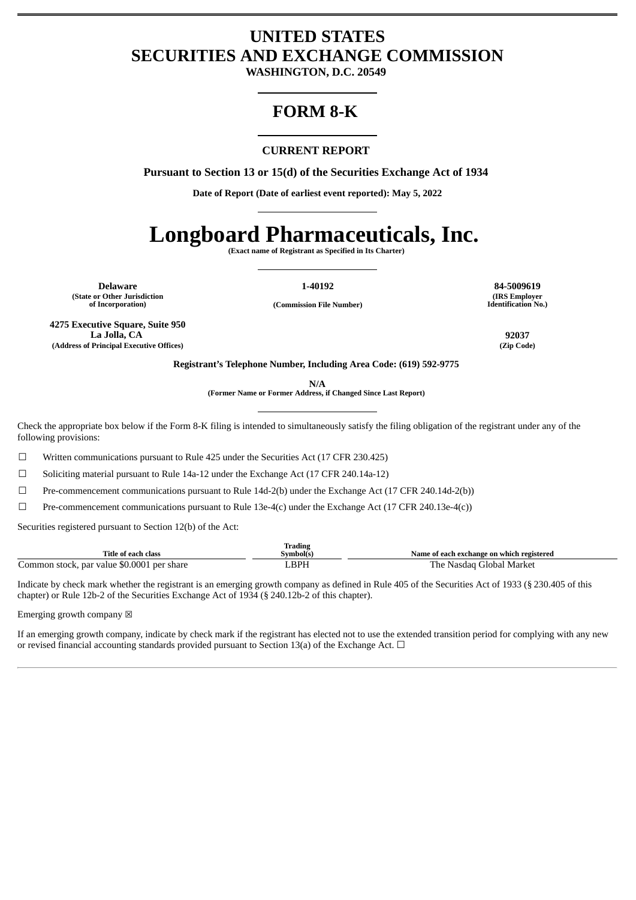# **UNITED STATES SECURITIES AND EXCHANGE COMMISSION**

**WASHINGTON, D.C. 20549**

# **FORM 8-K**

## **CURRENT REPORT**

**Pursuant to Section 13 or 15(d) of the Securities Exchange Act of 1934**

**Date of Report (Date of earliest event reported): May 5, 2022**

# **Longboard Pharmaceuticals, Inc.**

**(Exact name of Registrant as Specified in Its Charter)**

**Delaware 1-40192 84-5009619 (State or Other Jurisdiction**

**of Incorporation) (Commission File Number)**

**(IRS Employer Identification No.)**

**4275 Executive Square, Suite 950 La Jolla, CA 92037 (Address of Principal Executive Offices) (Zip Code)**

**Registrant's Telephone Number, Including Area Code: (619) 592-9775**

**N/A**

**(Former Name or Former Address, if Changed Since Last Report)**

Check the appropriate box below if the Form 8-K filing is intended to simultaneously satisfy the filing obligation of the registrant under any of the following provisions:

☐ Written communications pursuant to Rule 425 under the Securities Act (17 CFR 230.425)

☐ Soliciting material pursuant to Rule 14a-12 under the Exchange Act (17 CFR 240.14a-12)

☐ Pre-commencement communications pursuant to Rule 14d-2(b) under the Exchange Act (17 CFR 240.14d-2(b))

☐ Pre-commencement communications pursuant to Rule 13e-4(c) under the Exchange Act (17 CFR 240.13e-4(c))

Securities registered pursuant to Section 12(b) of the Act:

|                                            | Frading  |                                           |
|--------------------------------------------|----------|-------------------------------------------|
| Title of each class                        | Svmbol(s | Name of each exchange on which registered |
| Common stock, par value \$0.0001 per share | LBPH     | Nasdag Global Market<br>1 he              |

Indicate by check mark whether the registrant is an emerging growth company as defined in Rule 405 of the Securities Act of 1933 (§ 230.405 of this chapter) or Rule 12b-2 of the Securities Exchange Act of 1934 (§ 240.12b-2 of this chapter).

Emerging growth company  $\boxtimes$ 

If an emerging growth company, indicate by check mark if the registrant has elected not to use the extended transition period for complying with any new or revised financial accounting standards provided pursuant to Section 13(a) of the Exchange Act.  $\Box$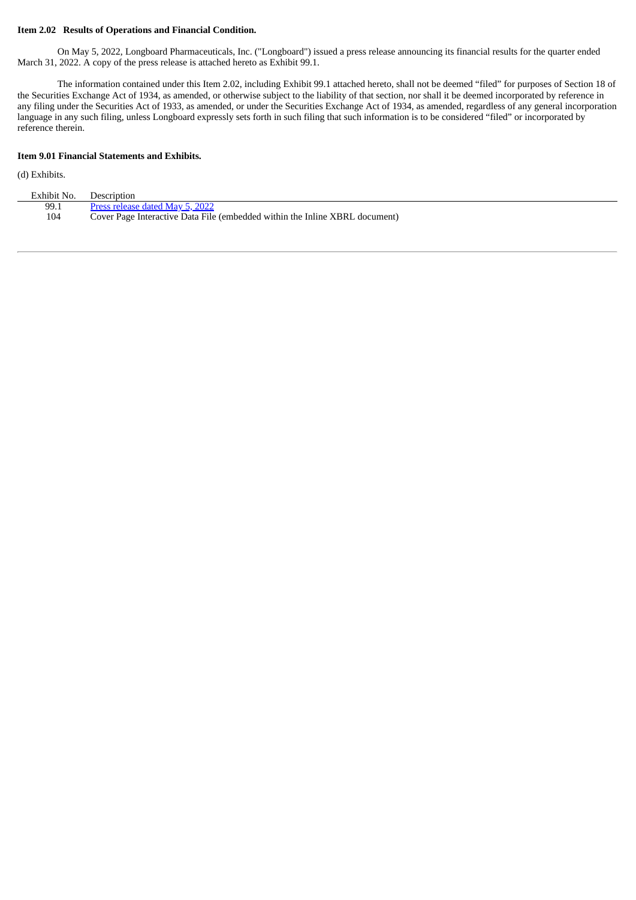#### **Item 2.02 Results of Operations and Financial Condition.**

On May 5, 2022, Longboard Pharmaceuticals, Inc. ("Longboard") issued a press release announcing its financial results for the quarter ended March 31, 2022. A copy of the press release is attached hereto as Exhibit 99.1.

The information contained under this Item 2.02, including Exhibit 99.1 attached hereto, shall not be deemed "filed" for purposes of Section 18 of the Securities Exchange Act of 1934, as amended, or otherwise subject to the liability of that section, nor shall it be deemed incorporated by reference in any filing under the Securities Act of 1933, as amended, or under the Securities Exchange Act of 1934, as amended, regardless of any general incorporation language in any such filing, unless Longboard expressly sets forth in such filing that such information is to be considered "filed" or incorporated by reference therein.

#### **Item 9.01 Financial Statements and Exhibits.**

(d) Exhibits.

| Exhibit No. | Description                                                                 |
|-------------|-----------------------------------------------------------------------------|
| 99.1        | Press release dated May 5, 2022                                             |
| 104         | Cover Page Interactive Data File (embedded within the Inline XBRL document) |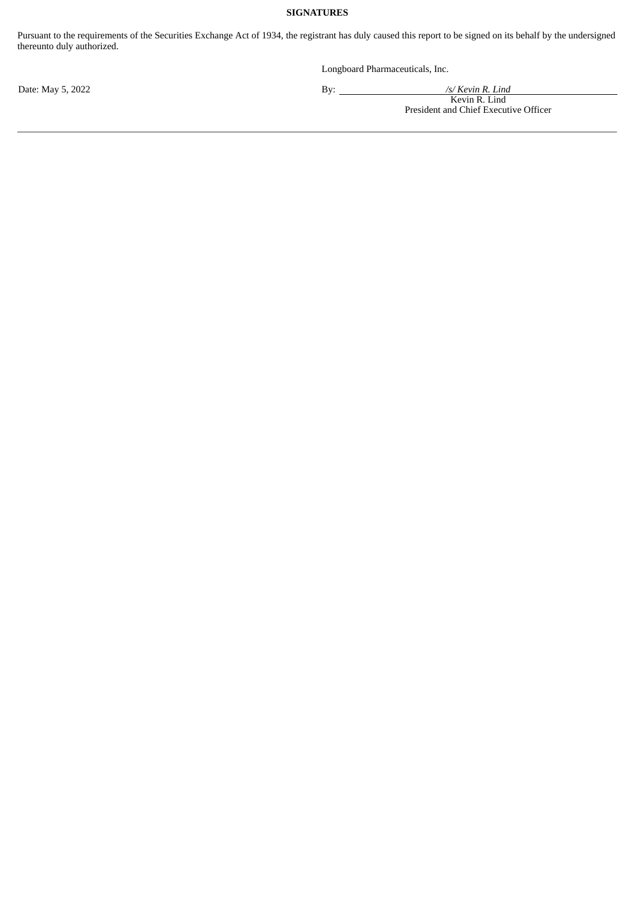#### **SIGNATURES**

Pursuant to the requirements of the Securities Exchange Act of 1934, the registrant has duly caused this report to be signed on its behalf by the undersigned thereunto duly authorized.

Longboard Pharmaceuticals, Inc.

Date: May 5, 2022 By: */s/ Kevin R. Lind*

Kevin R. Lind President and Chief Executive Officer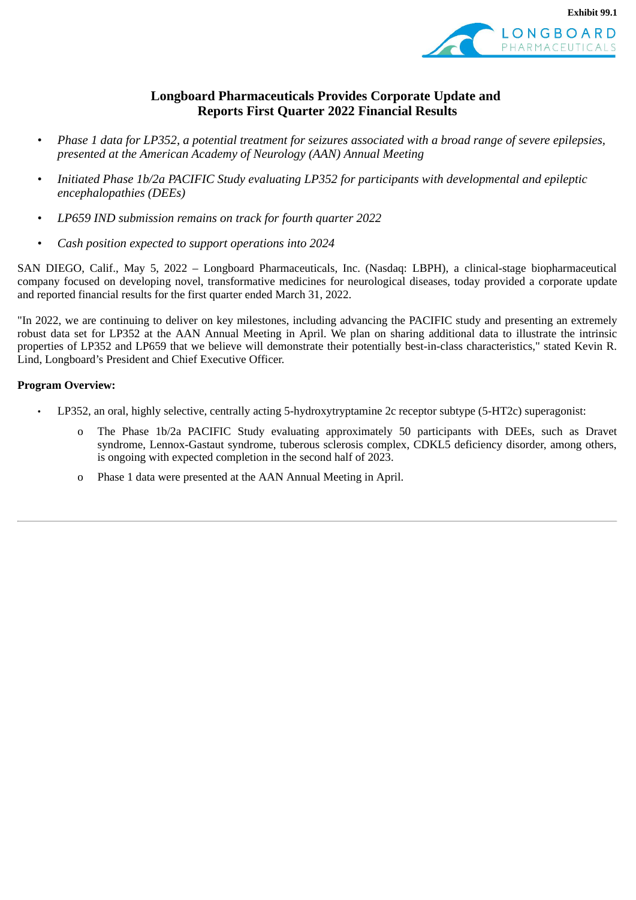

## **Longboard Pharmaceuticals Provides Corporate Update and Reports First Quarter 2022 Financial Results**

- <span id="page-3-0"></span>• Phase 1 data for LP352, a potential treatment for seizures associated with a broad range of severe epilepsies. *presented at the American Academy of Neurology (AAN) Annual Meeting*
- *Initiated Phase 1b/2a PACIFIC Study evaluating LP352 for participants with developmental and epileptic encephalopathies (DEEs)*
- *LP659 IND submission remains on track for fourth quarter 2022*
- *Cash position expected to support operations into 2024*

SAN DIEGO, Calif., May 5, 2022 – Longboard Pharmaceuticals, Inc. (Nasdaq: LBPH), a clinical-stage biopharmaceutical company focused on developing novel, transformative medicines for neurological diseases, today provided a corporate update and reported financial results for the first quarter ended March 31, 2022.

"In 2022, we are continuing to deliver on key milestones, including advancing the PACIFIC study and presenting an extremely robust data set for LP352 at the AAN Annual Meeting in April. We plan on sharing additional data to illustrate the intrinsic properties of LP352 and LP659 that we believe will demonstrate their potentially best-in-class characteristics," stated Kevin R. Lind, Longboard's President and Chief Executive Officer.

## **Program Overview:**

- LP352, an oral, highly selective, centrally acting 5-hydroxytryptamine 2c receptor subtype (5-HT2c) superagonist:
	- o The Phase 1b/2a PACIFIC Study evaluating approximately 50 participants with DEEs, such as Dravet syndrome, Lennox-Gastaut syndrome, tuberous sclerosis complex, CDKL5 deficiency disorder, among others, is ongoing with expected completion in the second half of 2023.
	- o Phase 1 data were presented at the AAN Annual Meeting in April.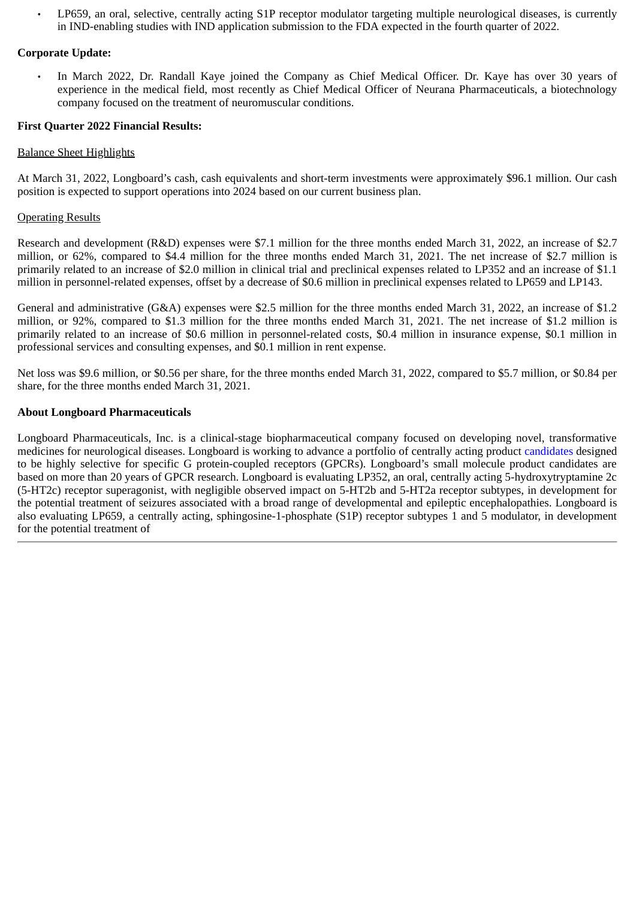• LP659, an oral, selective, centrally acting S1P receptor modulator targeting multiple neurological diseases, is currently in IND-enabling studies with IND application submission to the FDA expected in the fourth quarter of 2022.

#### **Corporate Update:**

• In March 2022, Dr. Randall Kaye joined the Company as Chief Medical Officer. Dr. Kaye has over 30 years of experience in the medical field, most recently as Chief Medical Officer of Neurana Pharmaceuticals, a biotechnology company focused on the treatment of neuromuscular conditions.

#### **First Quarter 2022 Financial Results:**

## Balance Sheet Highlights

At March 31, 2022, Longboard's cash, cash equivalents and short-term investments were approximately \$96.1 million. Our cash position is expected to support operations into 2024 based on our current business plan.

## **Operating Results**

Research and development (R&D) expenses were \$7.1 million for the three months ended March 31, 2022, an increase of \$2.7 million, or 62%, compared to \$4.4 million for the three months ended March 31, 2021. The net increase of \$2.7 million is primarily related to an increase of \$2.0 million in clinical trial and preclinical expenses related to LP352 and an increase of \$1.1 million in personnel-related expenses, offset by a decrease of \$0.6 million in preclinical expenses related to LP659 and LP143.

General and administrative (G&A) expenses were \$2.5 million for the three months ended March 31, 2022, an increase of \$1.2 million, or 92%, compared to \$1.3 million for the three months ended March 31, 2021. The net increase of \$1.2 million is primarily related to an increase of \$0.6 million in personnel-related costs, \$0.4 million in insurance expense, \$0.1 million in professional services and consulting expenses, and \$0.1 million in rent expense.

Net loss was \$9.6 million, or \$0.56 per share, for the three months ended March 31, 2022, compared to \$5.7 million, or \$0.84 per share, for the three months ended March 31, 2021.

## **About Longboard Pharmaceuticals**

Longboard Pharmaceuticals, Inc. is a clinical-stage biopharmaceutical company focused on developing novel, transformative medicines for neurological diseases. Longboard is working to advance a portfolio of centrally acting product candidates designed to be highly selective for specific G protein-coupled receptors (GPCRs). Longboard's small molecule product candidates are based on more than 20 years of GPCR research. Longboard is evaluating LP352, an oral, centrally acting 5-hydroxytryptamine 2c (5-HT2c) receptor superagonist, with negligible observed impact on 5-HT2b and 5-HT2a receptor subtypes, in development for the potential treatment of seizures associated with a broad range of developmental and epileptic encephalopathies. Longboard is also evaluating LP659, a centrally acting, sphingosine-1-phosphate (S1P) receptor subtypes 1 and 5 modulator, in development for the potential treatment of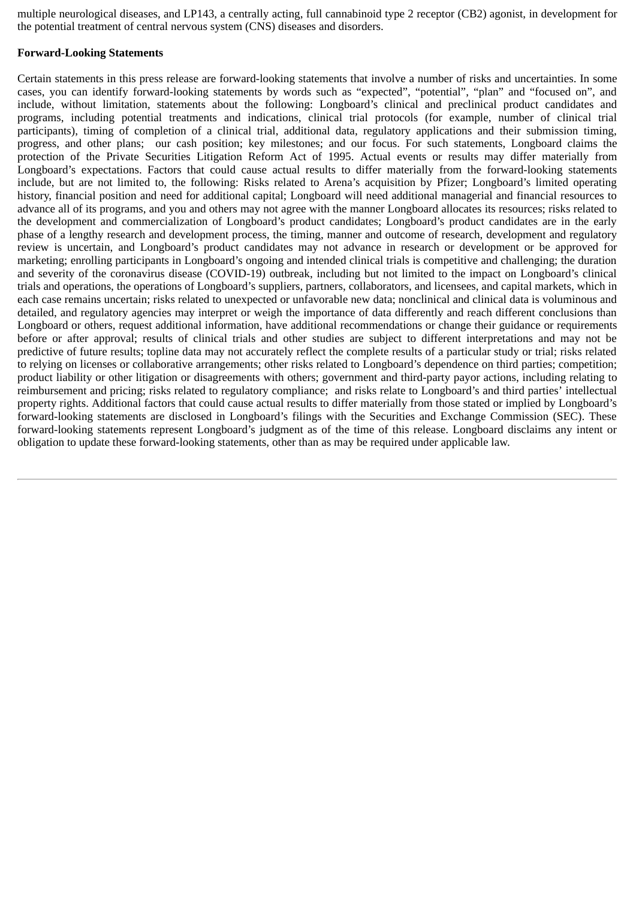multiple neurological diseases, and LP143, a centrally acting, full cannabinoid type 2 receptor (CB2) agonist, in development for the potential treatment of central nervous system (CNS) diseases and disorders.

#### **Forward-Looking Statements**

Certain statements in this press release are forward-looking statements that involve a number of risks and uncertainties. In some cases, you can identify forward-looking statements by words such as "expected", "potential", "plan" and "focused on", and include, without limitation, statements about the following: Longboard's clinical and preclinical product candidates and programs, including potential treatments and indications, clinical trial protocols (for example, number of clinical trial participants), timing of completion of a clinical trial, additional data, regulatory applications and their submission timing, progress, and other plans; our cash position; key milestones; and our focus. For such statements, Longboard claims the protection of the Private Securities Litigation Reform Act of 1995. Actual events or results may differ materially from Longboard's expectations. Factors that could cause actual results to differ materially from the forward-looking statements include, but are not limited to, the following: Risks related to Arena's acquisition by Pfizer; Longboard's limited operating history, financial position and need for additional capital; Longboard will need additional managerial and financial resources to advance all of its programs, and you and others may not agree with the manner Longboard allocates its resources; risks related to the development and commercialization of Longboard's product candidates; Longboard's product candidates are in the early phase of a lengthy research and development process, the timing, manner and outcome of research, development and regulatory review is uncertain, and Longboard's product candidates may not advance in research or development or be approved for marketing; enrolling participants in Longboard's ongoing and intended clinical trials is competitive and challenging; the duration and severity of the coronavirus disease (COVID-19) outbreak, including but not limited to the impact on Longboard's clinical trials and operations, the operations of Longboard's suppliers, partners, collaborators, and licensees, and capital markets, which in each case remains uncertain; risks related to unexpected or unfavorable new data; nonclinical and clinical data is voluminous and detailed, and regulatory agencies may interpret or weigh the importance of data differently and reach different conclusions than Longboard or others, request additional information, have additional recommendations or change their guidance or requirements before or after approval; results of clinical trials and other studies are subject to different interpretations and may not be predictive of future results; topline data may not accurately reflect the complete results of a particular study or trial; risks related to relying on licenses or collaborative arrangements; other risks related to Longboard's dependence on third parties; competition; product liability or other litigation or disagreements with others; government and third-party payor actions, including relating to reimbursement and pricing; risks related to regulatory compliance; and risks relate to Longboard's and third parties' intellectual property rights. Additional factors that could cause actual results to differ materially from those stated or implied by Longboard's forward-looking statements are disclosed in Longboard's filings with the Securities and Exchange Commission (SEC). These forward-looking statements represent Longboard's judgment as of the time of this release. Longboard disclaims any intent or obligation to update these forward-looking statements, other than as may be required under applicable law.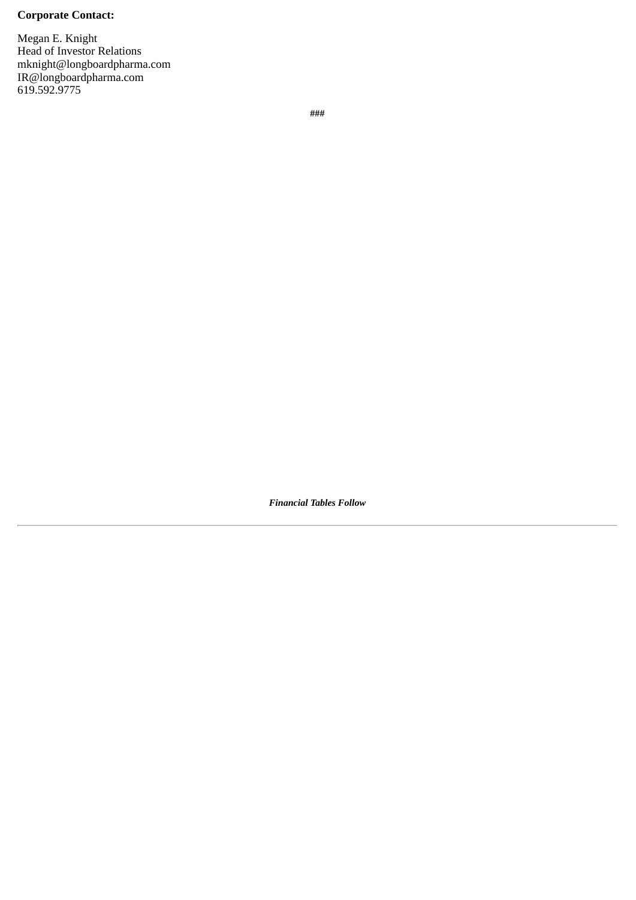# **Corporate Contact:**

Megan E. Knight Head of Investor Relations mknight@longboardpharma.com IR@longboardpharma.com 619.592.9775

**###**

*Financial Tables Follow*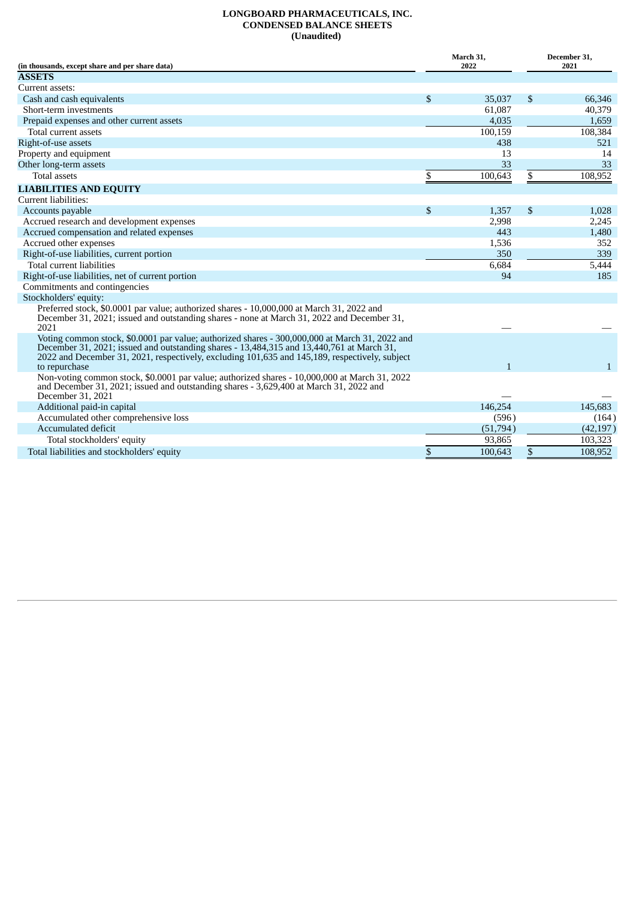#### **LONGBOARD PHARMACEUTICALS, INC. CONDENSED BALANCE SHEETS (Unaudited)**

| (in thousands, except share and per share data)                                                                                                                                                                                                                                                                |    | March 31,<br>2022 |    | December 31,<br>2021 |  |
|----------------------------------------------------------------------------------------------------------------------------------------------------------------------------------------------------------------------------------------------------------------------------------------------------------------|----|-------------------|----|----------------------|--|
| <b>ASSETS</b>                                                                                                                                                                                                                                                                                                  |    |                   |    |                      |  |
| Current assets:                                                                                                                                                                                                                                                                                                |    |                   |    |                      |  |
| Cash and cash equivalents                                                                                                                                                                                                                                                                                      | \$ | 35,037            | \$ | 66,346               |  |
| Short-term investments                                                                                                                                                                                                                                                                                         |    | 61.087            |    | 40,379               |  |
| Prepaid expenses and other current assets                                                                                                                                                                                                                                                                      |    | 4,035             |    | 1,659                |  |
| Total current assets                                                                                                                                                                                                                                                                                           |    | 100,159           |    | 108,384              |  |
| Right-of-use assets                                                                                                                                                                                                                                                                                            |    | 438               |    | 521                  |  |
| Property and equipment                                                                                                                                                                                                                                                                                         |    | 13                |    | 14                   |  |
| Other long-term assets                                                                                                                                                                                                                                                                                         |    | 33                |    | 33                   |  |
| <b>Total assets</b>                                                                                                                                                                                                                                                                                            | \$ | 100,643           | \$ | 108,952              |  |
| <b>LIABILITIES AND EQUITY</b>                                                                                                                                                                                                                                                                                  |    |                   |    |                      |  |
| <b>Current liabilities:</b>                                                                                                                                                                                                                                                                                    |    |                   |    |                      |  |
| Accounts payable                                                                                                                                                                                                                                                                                               | \$ | 1,357             | \$ | 1,028                |  |
| Accrued research and development expenses                                                                                                                                                                                                                                                                      |    | 2,998             |    | 2,245                |  |
| Accrued compensation and related expenses                                                                                                                                                                                                                                                                      |    | 443               |    | 1,480                |  |
| Accrued other expenses                                                                                                                                                                                                                                                                                         |    | 1,536             |    | 352                  |  |
| Right-of-use liabilities, current portion                                                                                                                                                                                                                                                                      |    | 350               |    | 339                  |  |
| Total current liabilities                                                                                                                                                                                                                                                                                      |    | 6,684             |    | 5,444                |  |
| Right-of-use liabilities, net of current portion                                                                                                                                                                                                                                                               |    | 94                |    | 185                  |  |
| Commitments and contingencies                                                                                                                                                                                                                                                                                  |    |                   |    |                      |  |
| Stockholders' equity:                                                                                                                                                                                                                                                                                          |    |                   |    |                      |  |
| Preferred stock, \$0.0001 par value; authorized shares - 10,000,000 at March 31, 2022 and<br>December 31, 2021; issued and outstanding shares - none at March 31, 2022 and December 31,<br>2021                                                                                                                |    |                   |    |                      |  |
| Voting common stock, \$0.0001 par value; authorized shares - 300,000,000 at March 31, 2022 and<br>December 31, 2021; issued and outstanding shares - 13,484,315 and 13,440,761 at March 31,<br>2022 and December 31, 2021, respectively, excluding 101,635 and 145,189, respectively, subject<br>to repurchase |    | $\mathbf{1}$      |    | $\mathbf{1}$         |  |
| Non-voting common stock, \$0.0001 par value; authorized shares - 10,000,000 at March 31, 2022<br>and December 31, 2021; issued and outstanding shares - 3,629,400 at March 31, 2022 and<br>December 31, 2021                                                                                                   |    |                   |    |                      |  |
| Additional paid-in capital                                                                                                                                                                                                                                                                                     |    | 146,254           |    | 145,683              |  |
| Accumulated other comprehensive loss                                                                                                                                                                                                                                                                           |    | (596)             |    | (164)                |  |
| Accumulated deficit                                                                                                                                                                                                                                                                                            |    | (51,794)          |    | (42, 197)            |  |
| Total stockholders' equity                                                                                                                                                                                                                                                                                     |    | 93,865            |    | 103,323              |  |
| Total liabilities and stockholders' equity                                                                                                                                                                                                                                                                     | \$ | 100,643           | \$ | 108,952              |  |
|                                                                                                                                                                                                                                                                                                                |    |                   |    |                      |  |